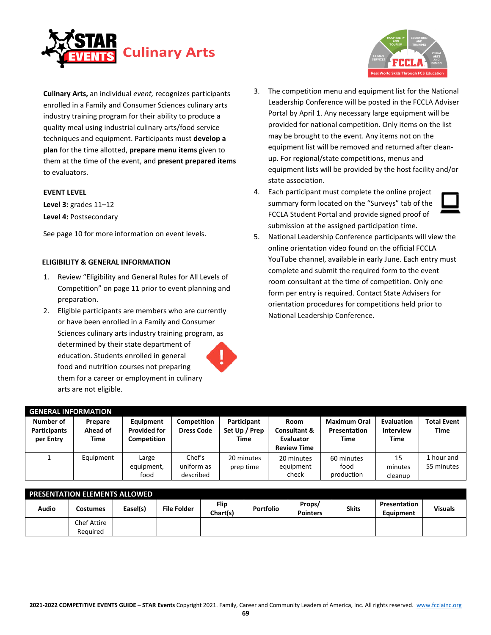

**Culinary Arts,** an individual *event,* recognizes participants enrolled in a Family and Consumer Sciences culinary arts industry training program for their ability to produce a quality meal using industrial culinary arts/food service techniques and equipment. Participants must **develop a plan** for the time allotted, **prepare menu items** given to them at the time of the event, and **present prepared items**  to evaluators.

#### **EVENT LEVEL**

**Level 3:** grades 11–12 **Level 4:** Postsecondary

See page 10 for more information on event levels.

#### **ELIGIBILITY & GENERAL INFORMATION**

- 1. Review "Eligibility and General Rules for All Levels of Competition" on page 11 prior to event planning and preparation.
- 2. Eligible participants are members who are currently or have been enrolled in a Family and Consumer Sciences culinary arts industry training program, as determined by their state department of education. Students enrolled in general food and nutrition courses not preparing them for a career or employment in culinary arts are not eligible.



- 3. The competition menu and equipment list for the National Leadership Conference will be posted in the FCCLA Adviser Portal by April 1. Any necessary large equipment will be provided for national competition. Only items on the list may be brought to the event. Any items not on the equipment list will be removed and returned after cleanup. For regional/state competitions, menus and equipment lists will be provided by the host facility and/or state association.
- 4. Each participant must complete the online project summary form located on the "Surveys" tab of the FCCLA Student Portal and provide signed proof of submission at the assigned participation time.



5. National Leadership Conference participants will view the online orientation video found on the official FCCLA YouTube channel, available in early June. Each entry must complete and submit the required form to the event room consultant at the time of competition. Only one form per entry is required. Contact State Advisers for orientation procedures for competitions held prior to National Leadership Conference.

| <b>GENERAL INFORMATION</b>                    |                             |                                                 |                                   |                                      |                                                                    |                                             |                                               |                                   |
|-----------------------------------------------|-----------------------------|-------------------------------------------------|-----------------------------------|--------------------------------------|--------------------------------------------------------------------|---------------------------------------------|-----------------------------------------------|-----------------------------------|
| Number of<br><b>Participants</b><br>per Entry | Prepare<br>Ahead of<br>Time | Equipment<br><b>Provided for</b><br>Competition | Competition<br><b>Dress Code</b>  | Participant<br>Set Up / Prep<br>Time | Room<br><b>Consultant &amp;</b><br>Evaluator<br><b>Review Time</b> | <b>Maximum Oral</b><br>Presentation<br>Time | Evaluation<br><b>Interview</b><br><b>Time</b> | <b>Total Event</b><br><b>Time</b> |
|                                               | Equipment                   | Large<br>equipment,<br>food                     | Chef's<br>uniform as<br>described | 20 minutes<br>prep time              | 20 minutes<br>equipment<br>check                                   | 60 minutes<br>food<br>production            | 15<br>minutes<br>cleanup                      | 1 hour and<br>55 minutes          |

|       | <b>PRESENTATION ELEMENTS ALLOWED</b> |          |                    |                  |                  |                           |              |                                  |                |
|-------|--------------------------------------|----------|--------------------|------------------|------------------|---------------------------|--------------|----------------------------------|----------------|
| Audio | Costumes                             | Easel(s) | <b>File Folder</b> | Flip<br>Chart(s) | <b>Portfolio</b> | Props/<br><b>Pointers</b> | <b>Skits</b> | Presentation<br><b>Equipment</b> | <b>Visuals</b> |
|       | <b>Chef Attire</b>                   |          |                    |                  |                  |                           |              |                                  |                |
|       | Reauired                             |          |                    |                  |                  |                           |              |                                  |                |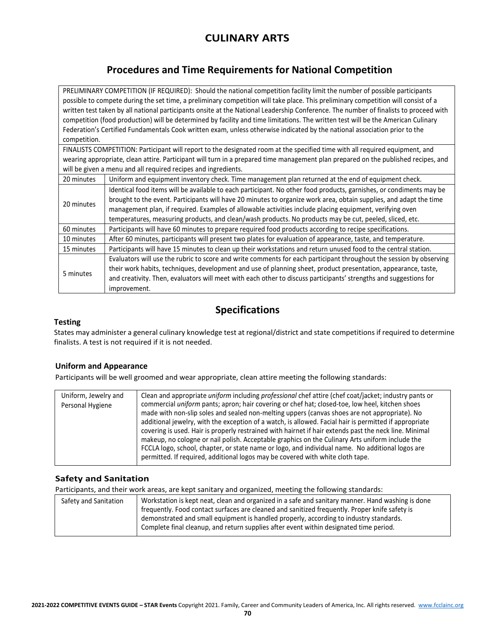# **CULINARY ARTS**

# **Procedures and Time Requirements for National Competition**

PRELIMINARY COMPETITION (IF REQUIRED): Should the national competition facility limit the number of possible participants possible to compete during the set time, a preliminary competition will take place. This preliminary competition will consist of a written test taken by all national participants onsite at the National Leadership Conference. The number of finalists to proceed with competition (food production) will be determined by facility and time limitations. The written test will be the American Culinary Federation's Certified Fundamentals Cook written exam, unless otherwise indicated by the national association prior to the competition.

FINALISTS COMPETITION: Participant will report to the designated room at the specified time with all required equipment, and wearing appropriate, clean attire. Participant will turn in a prepared time management plan prepared on the published recipes, and will be given a menu and all required recipes and ingredients.

| 20 minutes | Uniform and equipment inventory check. Time management plan returned at the end of equipment check.                 |
|------------|---------------------------------------------------------------------------------------------------------------------|
|            | Identical food items will be available to each participant. No other food products, garnishes, or condiments may be |
| 20 minutes | brought to the event. Participants will have 20 minutes to organize work area, obtain supplies, and adapt the time  |
|            | management plan, if required. Examples of allowable activities include placing equipment, verifying oven            |
|            | temperatures, measuring products, and clean/wash products. No products may be cut, peeled, sliced, etc.             |
| 60 minutes | Participants will have 60 minutes to prepare required food products according to recipe specifications.             |
| 10 minutes | After 60 minutes, participants will present two plates for evaluation of appearance, taste, and temperature.        |
| 15 minutes | Participants will have 15 minutes to clean up their workstations and return unused food to the central station.     |
|            | Evaluators will use the rubric to score and write comments for each participant throughout the session by observing |
| 5 minutes  | their work habits, techniques, development and use of planning sheet, product presentation, appearance, taste,      |
|            | and creativity. Then, evaluators will meet with each other to discuss participants' strengths and suggestions for   |
|            | improvement.                                                                                                        |

# **Specifications**

### **Testing**

States may administer a general culinary knowledge test at regional/district and state competitions if required to determine finalists. A test is not required if it is not needed.

### **Uniform and Appearance**

Participants will be well groomed and wear appropriate, clean attire meeting the following standards:

| Uniform, Jewelry and<br>Personal Hygiene | Clean and appropriate <i>uniform</i> including <i>professional</i> chef attire (chef coat/jacket; industry pants or<br>commercial uniform pants; apron; hair covering or chef hat; closed-toe, low heel, kitchen shoes<br>made with non-slip soles and sealed non-melting uppers (canvas shoes are not appropriate). No<br>additional jewelry, with the exception of a watch, is allowed. Facial hair is permitted if appropriate<br>covering is used. Hair is properly restrained with hairnet if hair extends past the neck line. Minimal<br>makeup, no cologne or nail polish. Acceptable graphics on the Culinary Arts uniform include the<br>FCCLA logo, school, chapter, or state name or logo, and individual name. No additional logos are<br>permitted. If required, additional logos may be covered with white cloth tape. |
|------------------------------------------|--------------------------------------------------------------------------------------------------------------------------------------------------------------------------------------------------------------------------------------------------------------------------------------------------------------------------------------------------------------------------------------------------------------------------------------------------------------------------------------------------------------------------------------------------------------------------------------------------------------------------------------------------------------------------------------------------------------------------------------------------------------------------------------------------------------------------------------|
|                                          |                                                                                                                                                                                                                                                                                                                                                                                                                                                                                                                                                                                                                                                                                                                                                                                                                                      |

### **Safety and Sanitation**

Participants, and their work areas, are kept sanitary and organized, meeting the following standards:

| Safety and Sanitation | Workstation is kept neat, clean and organized in a safe and sanitary manner. Hand washing is done<br>frequently. Food contact surfaces are cleaned and sanitized frequently. Proper knife safety is |
|-----------------------|-----------------------------------------------------------------------------------------------------------------------------------------------------------------------------------------------------|
|                       | demonstrated and small equipment is handled properly, according to industry standards.<br>Complete final cleanup, and return supplies after event within designated time period.                    |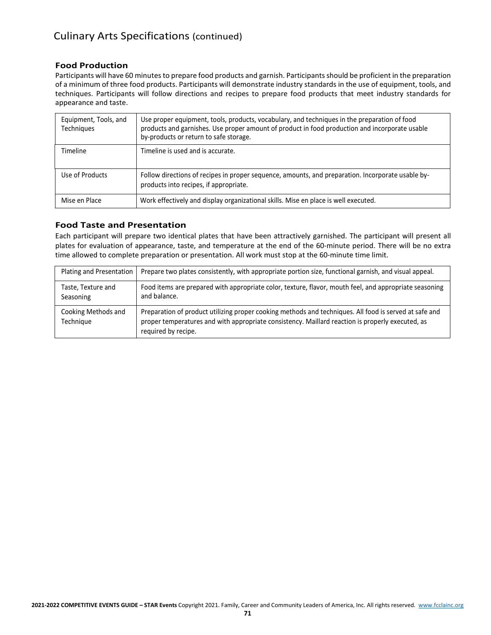# Culinary Arts Specifications (continued)

### **Food Production**

Participants will have 60 minutes to prepare food products and garnish. Participants should be proficient in the preparation of a minimum of three food products. Participants will demonstrate industry standards in the use of equipment, tools, and techniques. Participants will follow directions and recipes to prepare food products that meet industry standards for appearance and taste.

| Equipment, Tools, and<br><b>Techniques</b> | Use proper equipment, tools, products, vocabulary, and techniques in the preparation of food<br>products and garnishes. Use proper amount of product in food production and incorporate usable<br>by-products or return to safe storage. |
|--------------------------------------------|------------------------------------------------------------------------------------------------------------------------------------------------------------------------------------------------------------------------------------------|
| Timeline                                   | Timeline is used and is accurate.                                                                                                                                                                                                        |
| Use of Products                            | Follow directions of recipes in proper sequence, amounts, and preparation. Incorporate usable by-<br>products into recipes, if appropriate.                                                                                              |
| Mise en Place                              | Work effectively and display organizational skills. Mise en place is well executed.                                                                                                                                                      |

### **Food Taste and Presentation**

Each participant will prepare two identical plates that have been attractively garnished. The participant will present all plates for evaluation of appearance, taste, and temperature at the end of the 60-minute period. There will be no extra time allowed to complete preparation or presentation. All work must stop at the 60-minute time limit.

| Plating and Presentation         | Prepare two plates consistently, with appropriate portion size, functional garnish, and visual appeal.                                                                                                                            |
|----------------------------------|-----------------------------------------------------------------------------------------------------------------------------------------------------------------------------------------------------------------------------------|
| Taste, Texture and<br>Seasoning  | Food items are prepared with appropriate color, texture, flavor, mouth feel, and appropriate seasoning<br>and balance.                                                                                                            |
| Cooking Methods and<br>Technique | Preparation of product utilizing proper cooking methods and techniques. All food is served at safe and<br>proper temperatures and with appropriate consistency. Maillard reaction is properly executed, as<br>required by recipe. |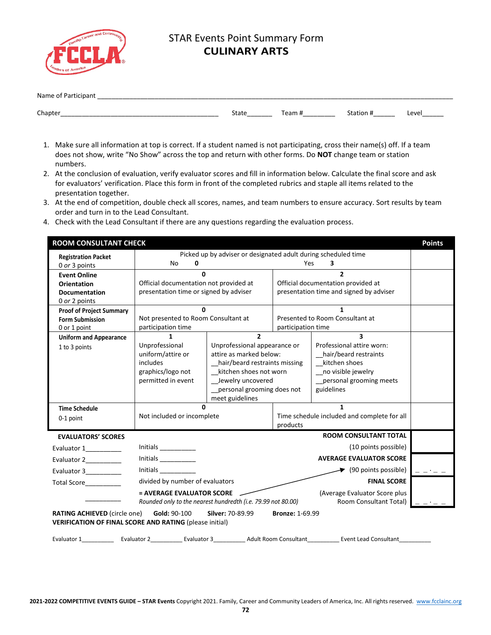

# STAR Events Point Summary Form **CULINARY ARTS**

| Name<br>O١<br>updill.<br>________                                         |       |            |                |       |
|---------------------------------------------------------------------------|-------|------------|----------------|-------|
|                                                                           |       |            |                |       |
| Chapter<br>_________<br>_________<br>__________<br>__________<br>________ | State | eam?<br>н. | tion<br>______ | Level |

- 1. Make sure all information at top is correct. If a student named is not participating, cross their name(s) off. If a team does not show, write "No Show" across the top and return with other forms. Do **NOT** change team or station numbers.
- 2. At the conclusion of evaluation, verify evaluator scores and fill in information below. Calculate the final score and ask for evaluators' verification. Place this form in front of the completed rubrics and staple all items related to the presentation together.
- 3. At the end of competition, double check all scores, names, and team numbers to ensure accuracy. Sort results by team order and turn in to the Lead Consultant.
- 4. Check with the Lead Consultant if there are any questions regarding the evaluation process.

| <b>ROOM CONSULTANT CHECK</b>                                                                                                                                        |                                                                                           |                                                                |                                             |                                                                                                                                               | <b>Points</b> |  |
|---------------------------------------------------------------------------------------------------------------------------------------------------------------------|-------------------------------------------------------------------------------------------|----------------------------------------------------------------|---------------------------------------------|-----------------------------------------------------------------------------------------------------------------------------------------------|---------------|--|
| <b>Registration Packet</b>                                                                                                                                          | 0<br>No                                                                                   | Picked up by adviser or designated adult during scheduled time | Yes                                         | 3                                                                                                                                             |               |  |
| 0 or 3 points                                                                                                                                                       |                                                                                           |                                                                |                                             | $\overline{\mathbf{z}}$                                                                                                                       |               |  |
| <b>Event Online</b>                                                                                                                                                 | <sup>0</sup><br>Official documentation not provided at                                    |                                                                |                                             | Official documentation provided at                                                                                                            |               |  |
| <b>Orientation</b><br><b>Documentation</b>                                                                                                                          | presentation time or signed by adviser                                                    |                                                                |                                             | presentation time and signed by adviser                                                                                                       |               |  |
| 0 or 2 points                                                                                                                                                       |                                                                                           |                                                                |                                             |                                                                                                                                               |               |  |
| <b>Proof of Project Summary</b>                                                                                                                                     | U                                                                                         |                                                                |                                             | 1                                                                                                                                             |               |  |
| <b>Form Submission</b>                                                                                                                                              | Not presented to Room Consultant at                                                       |                                                                |                                             | Presented to Room Consultant at                                                                                                               |               |  |
| 0 or 1 point                                                                                                                                                        | participation time                                                                        |                                                                | participation time                          |                                                                                                                                               |               |  |
| <b>Uniform and Appearance</b>                                                                                                                                       | 1                                                                                         | $\overline{2}$                                                 |                                             | $\overline{\mathbf{3}}$                                                                                                                       |               |  |
| 1 to 3 points                                                                                                                                                       | Unprofessional                                                                            | Unprofessional appearance or                                   |                                             | Professional attire worn:                                                                                                                     |               |  |
|                                                                                                                                                                     | uniform/attire or                                                                         | attire as marked below:                                        |                                             | hair/beard restraints                                                                                                                         |               |  |
|                                                                                                                                                                     | includes                                                                                  | hair/beard restraints missing                                  |                                             | kitchen shoes                                                                                                                                 |               |  |
|                                                                                                                                                                     | graphics/logo not                                                                         | _kitchen shoes not worn                                        |                                             | _no visible jewelry                                                                                                                           |               |  |
|                                                                                                                                                                     | permitted in event                                                                        | Jewelry uncovered                                              |                                             | _personal grooming meets                                                                                                                      |               |  |
|                                                                                                                                                                     |                                                                                           | personal grooming does not<br>meet guidelines                  |                                             | guidelines                                                                                                                                    |               |  |
| <b>Time Schedule</b>                                                                                                                                                |                                                                                           |                                                                |                                             |                                                                                                                                               |               |  |
|                                                                                                                                                                     | Not included or incomplete                                                                |                                                                | Time schedule included and complete for all |                                                                                                                                               |               |  |
| 0-1 point                                                                                                                                                           |                                                                                           |                                                                | products                                    |                                                                                                                                               |               |  |
| <b>EVALUATORS' SCORES</b>                                                                                                                                           |                                                                                           |                                                                |                                             | <b>ROOM CONSULTANT TOTAL</b>                                                                                                                  |               |  |
| Evaluator 1_________                                                                                                                                                | Initials $\frac{1}{\sqrt{1-\frac{1}{2}}\cdot\frac{1}{2}}$                                 |                                                                |                                             | (10 points possible)                                                                                                                          |               |  |
| Evaluator 2_________                                                                                                                                                | Initials $\_\_$                                                                           |                                                                |                                             | <b>AVERAGE EVALUATOR SCORE</b>                                                                                                                |               |  |
| Evaluator 3_________                                                                                                                                                | Initials $\frac{1}{2}$<br>$\blacktriangleright$ (90 points possible)                      |                                                                |                                             |                                                                                                                                               |               |  |
| Total Score <u>Samannum</u>                                                                                                                                         | divided by number of evaluators<br><b>FINAL SCORE</b>                                     |                                                                |                                             |                                                                                                                                               |               |  |
|                                                                                                                                                                     | = AVERAGE EVALUATOR SCORE<br>Rounded only to the nearest hundredth (i.e. 79.99 not 80.00) |                                                                |                                             | (Average Evaluator Score plus<br>Room Consultant Total)                                                                                       |               |  |
| <b>RATING ACHIEVED</b> (circle one)<br>Gold: 90-100<br>Silver: 70-89.99<br><b>Bronze: 1-69.99</b><br><b>VERIFICATION OF FINAL SCORE AND RATING (please initial)</b> |                                                                                           |                                                                |                                             |                                                                                                                                               |               |  |
|                                                                                                                                                                     |                                                                                           |                                                                |                                             | Evaluator 1_______________ Evaluator 2______________Evaluator 3________________Adult Room Consultant______________Event Lead Consultant______ |               |  |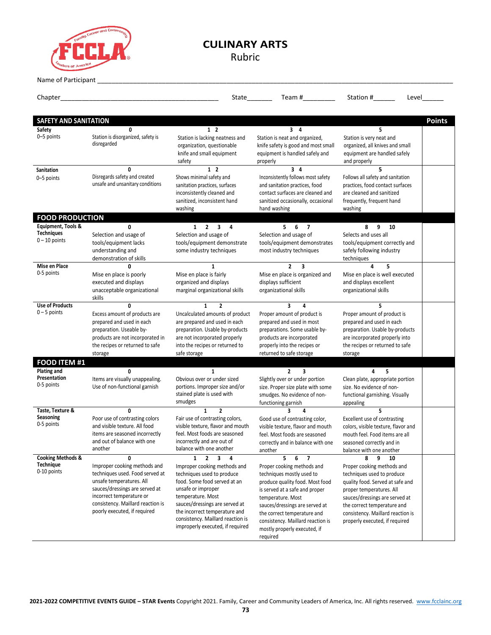

# **CULINARY ARTS**

Rubric

Name of Participant

Chapter\_\_\_\_\_\_\_\_\_\_\_\_\_\_\_\_\_\_\_\_\_\_\_\_\_\_\_\_\_\_\_\_\_\_\_\_\_\_\_\_\_\_\_\_ State\_\_\_\_\_\_\_ Team #\_\_\_\_\_\_\_\_\_ Station #\_\_\_\_\_\_ Level\_\_\_\_\_\_ **SAFETY AND SANITATION Points Safety** 0–5 points **0** Station is disorganized, safety is disregarded **1 2** Station is lacking neatness and organization, questionable knife and small equipment safety **3 4** Station is neat and organized, knife safety is good and most small equipment is handled safely and properly **5** Station is very neat and organized, all knives and small equipment are handled safely and properly **Sanitation** 0–5 points **0** Disregards safety and created unsafe and unsanitary conditions **1 2** Shows minimal safety and sanitation practices, surfaces inconsistently cleaned and sanitized, inconsistent hand washing **3 4** Inconsistently follows most safety and sanitation practices, food contact surfaces are cleaned and sanitized occasionally, occasional hand washing **5** Follows all safety and sanitation practices, food contact surfaces are cleaned and sanitized frequently, frequent hand washing **FOOD PRODUCTION Equipment, Tools & Techniques**  $0 - 10$  points **0** Selection and usage of tools/equipment lacks understanding and demonstration of skills **1 2 3 4** Selection and usage of tools/equipment demonstrate some industry techniques **5 6 7** Selection and usage of tools/equipment demonstrates most industry techniques **8 9 10** Selects and uses all tools/equipment correctly and safely following industry techniques **Mise en Place** 0-5 points **0** Mise en place is poorly executed and displays unacceptable organizational skills **1** Mise en place is fairly organized and displays marginal organizational skills **2 3** Mise en place is organized and displays sufficient organizational skills **4 5** Mise en place is well executed and displays excellent organizational skills **Use of Products** 0 – 5 points **0** Excess amount of products are prepared and used in each preparation. Useable byproducts are not incorporated in the recipes or returned to safe storage **1 2** Uncalculated amounts of product are prepared and used in each preparation. Usable by-products are not incorporated properly into the recipes or returned to safe storage **3 4** Proper amount of product is prepared and used in most preparations. Some usable byproducts are incorporated properly into the recipes or returned to safe storage **5** Proper amount of product is prepared and used in each preparation. Usable by-products are incorporated properly into the recipes or returned to safe storage **FOOD ITEM #1 Plating and Presentation** 0-5 points **0** Items are visually unappealing. Use of non-functional garnish **1** Obvious over or under sized portions. Improper size and/or stained plate is used with smudges **2 3** Slightly over or under portion size. Proper size plate with some smudges. No evidence of nonfunctioning garnish **4 5** Clean plate, appropriate portion size. No evidence of nonfunctional garnishing. Visually appealing **Taste, Texture & Seasoning** 0-5 points **0** Poor use of contrasting colors and visible texture. All food items are seasoned incorrectly and out of balance with one another **1 2** Fair use of contrasting colors, visible texture, flavor and mouth feel. Most foods are seasoned incorrectly and are out of balance with one another **3 4** Good use of contrasting color, visible texture, flavor and mouth feel. Most foods are seasoned correctly and in balance with one another **5** Excellent use of contrasting colors, visible texture, flavor and mouth feel. Food items are all seasoned correctly and in balance with one another **Cooking Methods & Technique** 0-10 points **0** Improper cooking methods and techniques used. Food served at unsafe temperatures. All sauces/dressings are served at incorrect temperature or consistency. Maillard reaction is poorly executed, if required **1 2 3 4** Improper cooking methods and techniques used to produce food. Some food served at an unsafe or improper temperature. Most sauces/dressings are served at the incorrect temperature and consistency. Maillard reaction is improperly executed, if required **5 6 7** Proper cooking methods and techniques mostly used to produce quality food. Most food is served at a safe and proper temperature. Most sauces/dressings are served at the correct temperature and consistency. Maillard reaction is mostly properly executed, if required **8 9 10** Proper cooking methods and techniques used to produce quality food. Served at safe and proper temperatures. All sauces/dressings are served at the correct temperature and consistency. Maillard reaction is properly executed, if required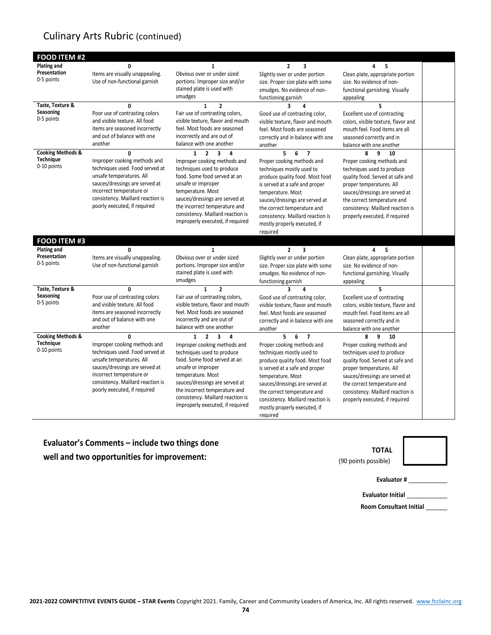## Culinary Arts Rubric (continued)

| <b>FOOD ITEM #2</b>             |                                                            |                                                                |                                                                     |                                                               |  |
|---------------------------------|------------------------------------------------------------|----------------------------------------------------------------|---------------------------------------------------------------------|---------------------------------------------------------------|--|
| Plating and                     | 0                                                          | 1                                                              | $\overline{2}$<br>3                                                 | 4<br>5                                                        |  |
| Presentation                    | Items are visually unappealing.                            | Obvious over or under sized                                    | Slightly over or under portion                                      | Clean plate, appropriate portion                              |  |
| 0-5 points                      | Use of non-functional garnish                              | portions. Improper size and/or                                 | size. Proper size plate with some                                   | size. No evidence of non-                                     |  |
|                                 |                                                            | stained plate is used with                                     | smudges. No evidence of non-                                        | functional garnishing. Visually                               |  |
|                                 |                                                            | smudges                                                        | functioning garnish                                                 | appealing                                                     |  |
| Taste, Texture &                | $\mathbf{0}$                                               | $\mathbf{1}$<br>$\overline{2}$                                 |                                                                     | 5                                                             |  |
| Seasoning                       | Poor use of contrasting colors                             | Fair use of contrasting colors,                                | Good use of contrasting color,                                      | Excellent use of contrasting                                  |  |
| 0-5 points                      | and visible texture. All food                              | visible texture, flavor and mouth                              | visible texture, flavor and mouth                                   | colors, visible texture, flavor and                           |  |
|                                 | items are seasoned incorrectly                             | feel. Most foods are seasoned                                  | feel. Most foods are seasoned                                       | mouth feel. Food items are all                                |  |
|                                 | and out of balance with one                                | incorrectly and are out of                                     | correctly and in balance with one                                   | seasoned correctly and in                                     |  |
|                                 | another                                                    | balance with one another                                       | another                                                             | balance with one another                                      |  |
| <b>Cooking Methods &amp;</b>    | $\mathbf{0}$                                               | $\overline{2}$<br>$\overline{\mathbf{3}}$<br>$\mathbf{1}$<br>4 | 5<br>6<br>$\overline{7}$                                            | 9<br>8<br>10                                                  |  |
| <b>Technique</b><br>0-10 points | Improper cooking methods and                               | Improper cooking methods and                                   | Proper cooking methods and                                          | Proper cooking methods and                                    |  |
|                                 | techniques used. Food served at                            | techniques used to produce                                     | techniques mostly used to                                           | techniques used to produce                                    |  |
|                                 | unsafe temperatures. All                                   | food. Some food served at an                                   | produce quality food. Most food                                     | quality food. Served at safe and                              |  |
|                                 | sauces/dressings are served at<br>incorrect temperature or | unsafe or improper<br>temperature. Most                        | is served at a safe and proper                                      | proper temperatures. All                                      |  |
|                                 | consistency. Maillard reaction is                          | sauces/dressings are served at                                 | temperature. Most                                                   | sauces/dressings are served at                                |  |
|                                 | poorly executed, if required                               | the incorrect temperature and                                  | sauces/dressings are served at                                      | the correct temperature and                                   |  |
|                                 |                                                            | consistency. Maillard reaction is                              | the correct temperature and                                         | consistency. Maillard reaction is                             |  |
|                                 |                                                            | improperly executed, if required                               | consistency. Maillard reaction is<br>mostly properly executed, if   | properly executed, if required                                |  |
|                                 |                                                            |                                                                | required                                                            |                                                               |  |
| <b>FOOD ITEM #3</b>             |                                                            |                                                                |                                                                     |                                                               |  |
| <b>Plating and</b>              |                                                            |                                                                | $\overline{2}$                                                      |                                                               |  |
| Presentation                    | $\mathbf{0}$<br>Items are visually unappealing.            | $\mathbf{1}$<br>Obvious over or under sized                    | 3                                                                   | 4<br>5                                                        |  |
| 0-5 points                      | Use of non-functional garnish                              | portions. Improper size and/or                                 | Slightly over or under portion<br>size. Proper size plate with some | Clean plate, appropriate portion<br>size. No evidence of non- |  |
|                                 |                                                            | stained plate is used with                                     | smudges. No evidence of non-                                        | functional garnishing. Visually                               |  |
|                                 |                                                            | smudges                                                        | functioning garnish                                                 | appealing                                                     |  |
| Taste, Texture &                | $\mathbf{0}$                                               | $\mathbf{1}$<br>$\overline{2}$                                 | $\overline{\mathbf{3}}$<br>4                                        | 5                                                             |  |
| Seasoning                       | Poor use of contrasting colors                             | Fair use of contrasting colors,                                | Good use of contrasting color,                                      | Excellent use of contrasting                                  |  |
| 0-5 points                      | and visible texture. All food                              | visible texture, flavor and mouth                              | visible texture, flavor and mouth                                   | colors, visible texture, flavor and                           |  |
|                                 | items are seasoned incorrectly                             | feel. Most foods are seasoned                                  | feel. Most foods are seasoned                                       | mouth feel. Food items are all                                |  |
|                                 | and out of balance with one                                | incorrectly and are out of                                     | correctly and in balance with one                                   | seasoned correctly and in                                     |  |
|                                 | another                                                    | balance with one another                                       | another                                                             | balance with one another                                      |  |
| <b>Cooking Methods &amp;</b>    | 0                                                          | $\overline{2}$<br>$\overline{\mathbf{3}}$<br>$\mathbf{1}$<br>4 | 5<br>6<br>$\overline{7}$                                            | 8<br>q<br>10                                                  |  |
| <b>Technique</b>                | Improper cooking methods and                               | Improper cooking methods and                                   | Proper cooking methods and                                          | Proper cooking methods and                                    |  |
| 0-10 points                     | techniques used. Food served at                            | techniques used to produce                                     | techniques mostly used to                                           | techniques used to produce                                    |  |
|                                 | unsafe temperatures. All                                   | food. Some food served at an                                   | produce quality food. Most food                                     | quality food. Served at safe and                              |  |
|                                 | sauces/dressings are served at                             | unsafe or improper                                             | is served at a safe and proper                                      | proper temperatures. All                                      |  |
|                                 | incorrect temperature or                                   | temperature. Most                                              | temperature. Most                                                   | sauces/dressings are served at                                |  |
|                                 | consistency. Maillard reaction is                          | sauces/dressings are served at                                 | sauces/dressings are served at                                      | the correct temperature and                                   |  |
|                                 | poorly executed, if required                               | the incorrect temperature and                                  | the correct temperature and                                         | consistency. Maillard reaction is                             |  |
|                                 |                                                            | consistency. Maillard reaction is                              | consistency. Maillard reaction is                                   | properly executed, if required                                |  |
|                                 |                                                            |                                                                |                                                                     |                                                               |  |
|                                 |                                                            | improperly executed, if required                               | mostly properly executed, if                                        |                                                               |  |

**Evaluator's Comments – include two things done well and two opportunities for improvement:**



(90 points possible)

**Evaluator #**

**Evaluator Initial**

**Room Consultant Initial**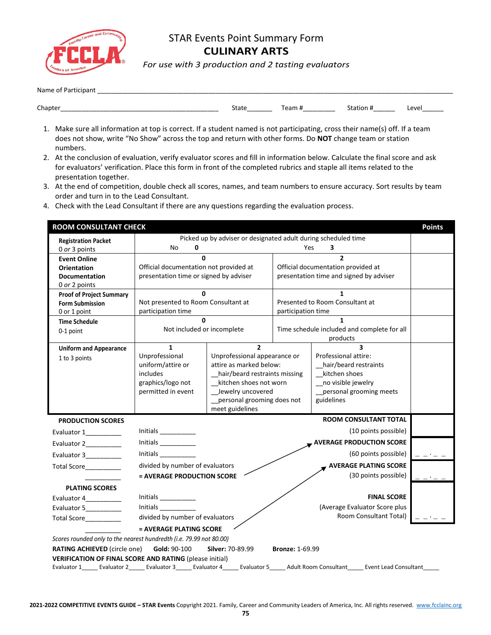

## STAR Events Point Summary Form **CULINARY ARTS**

*For use with 3 production and 2 tasting evaluators*

| Nam<br>______                                                          |                    |     |         |      |
|------------------------------------------------------------------------|--------------------|-----|---------|------|
|                                                                        |                    |     |         |      |
| Chapter<br>___________<br>________<br>________<br>________<br>________ | state<br>_________ | ēam | _______ | Leve |

- 1. Make sure all information at top is correct. If a student named is not participating, cross their name(s) off. If a team does not show, write "No Show" across the top and return with other forms. Do **NOT** change team or station numbers.
- 2. At the conclusion of evaluation, verify evaluator scores and fill in information below. Calculate the final score and ask for evaluators' verification. Place this form in front of the completed rubrics and staple all items related to the presentation together.
- 3. At the end of competition, double check all scores, names, and team numbers to ensure accuracy. Sort results by team order and turn in to the Lead Consultant.
- 4. Check with the Lead Consultant if there are any questions regarding the evaluation process.

| <b>ROOM CONSULTANT CHECK</b>                                        |                                                                                                                          |                                                                |                        |                                             | <b>Points</b> |  |  |
|---------------------------------------------------------------------|--------------------------------------------------------------------------------------------------------------------------|----------------------------------------------------------------|------------------------|---------------------------------------------|---------------|--|--|
| <b>Registration Packet</b>                                          |                                                                                                                          | Picked up by adviser or designated adult during scheduled time |                        |                                             |               |  |  |
| 0 or 3 points                                                       | No<br>0                                                                                                                  |                                                                |                        | Yes<br>3                                    |               |  |  |
| <b>Event Online</b>                                                 |                                                                                                                          | $\Omega$                                                       |                        | $\overline{2}$                              |               |  |  |
| <b>Orientation</b>                                                  | Official documentation not provided at                                                                                   |                                                                |                        | Official documentation provided at          |               |  |  |
| <b>Documentation</b>                                                | presentation time or signed by adviser                                                                                   |                                                                |                        | presentation time and signed by adviser     |               |  |  |
| 0 or 2 points                                                       | U                                                                                                                        |                                                                |                        | 1                                           |               |  |  |
| <b>Proof of Project Summary</b><br><b>Form Submission</b>           | Not presented to Room Consultant at                                                                                      |                                                                |                        | Presented to Room Consultant at             |               |  |  |
| 0 or 1 point                                                        | participation time                                                                                                       |                                                                | participation time     |                                             |               |  |  |
| <b>Time Schedule</b>                                                | $\Omega$                                                                                                                 |                                                                |                        | $\mathbf{1}$                                |               |  |  |
| 0-1 point                                                           | Not included or incomplete                                                                                               |                                                                |                        | Time schedule included and complete for all |               |  |  |
|                                                                     |                                                                                                                          |                                                                |                        | products                                    |               |  |  |
| <b>Uniform and Appearance</b>                                       | 1<br>Unprofessional                                                                                                      | $\mathbf{z}$                                                   |                        | 3<br>Professional attire:                   |               |  |  |
| 1 to 3 points                                                       | uniform/attire or                                                                                                        | Unprofessional appearance or<br>attire as marked below:        |                        | hair/beard restraints                       |               |  |  |
|                                                                     | includes                                                                                                                 | hair/beard restraints missing                                  |                        | kitchen shoes                               |               |  |  |
|                                                                     | graphics/logo not                                                                                                        | kitchen shoes not worn                                         |                        | _no visible jewelry                         |               |  |  |
|                                                                     | permitted in event                                                                                                       | Jewelry uncovered                                              |                        | _personal grooming meets                    |               |  |  |
|                                                                     |                                                                                                                          | personal grooming does not                                     |                        | guidelines                                  |               |  |  |
|                                                                     |                                                                                                                          | meet guidelines                                                |                        |                                             |               |  |  |
| <b>PRODUCTION SCORES</b>                                            |                                                                                                                          |                                                                |                        | <b>ROOM CONSULTANT TOTAL</b>                |               |  |  |
| Evaluator 1                                                         | Initials $\frac{\ }{\ }$                                                                                                 |                                                                |                        | (10 points possible)                        |               |  |  |
| Evaluator 2___________                                              | Initials                                                                                                                 |                                                                |                        | WERAGE PRODUCTION SCORE                     |               |  |  |
| Evaluator 3__________                                               | Initials                                                                                                                 |                                                                |                        | (60 points possible)                        |               |  |  |
| Total Score <b>Example</b>                                          | divided by number of evaluators                                                                                          |                                                                |                        | <b>AVERAGE PLATING SCORE</b>                |               |  |  |
|                                                                     | = AVERAGE PRODUCTION SCORE                                                                                               |                                                                |                        | (30 points possible)                        |               |  |  |
| <b>PLATING SCORES</b>                                               |                                                                                                                          |                                                                |                        |                                             |               |  |  |
| Evaluator 4__________                                               | Initials $\frac{1}{\sqrt{1-\frac{1}{2}}\cdot\frac{1}{2}}$                                                                |                                                                |                        | <b>FINAL SCORE</b>                          |               |  |  |
| Evaluator 5                                                         | <b>Initials</b>                                                                                                          |                                                                |                        | (Average Evaluator Score plus               |               |  |  |
| Total Score__________                                               | divided by number of evaluators                                                                                          |                                                                |                        | Room Consultant Total)                      |               |  |  |
|                                                                     | = AVERAGE PLATING SCORE                                                                                                  |                                                                |                        |                                             |               |  |  |
| Scores rounded only to the nearest hundredth (i.e. 79.99 not 80.00) |                                                                                                                          |                                                                |                        |                                             |               |  |  |
| <b>RATING ACHIEVED (circle one)</b>                                 | Gold: 90-100                                                                                                             | Silver: 70-89.99                                               | <b>Bronze: 1-69.99</b> |                                             |               |  |  |
| <b>VERIFICATION OF FINAL SCORE AND RATING (please initial)</b>      |                                                                                                                          |                                                                |                        |                                             |               |  |  |
| Evaluator 1                                                         | <b>Adult Room Consultant</b><br><b>Event Lead Consultant</b><br>Evaluator 2<br>Evaluator 3<br>Evaluator 4<br>Evaluator 5 |                                                                |                        |                                             |               |  |  |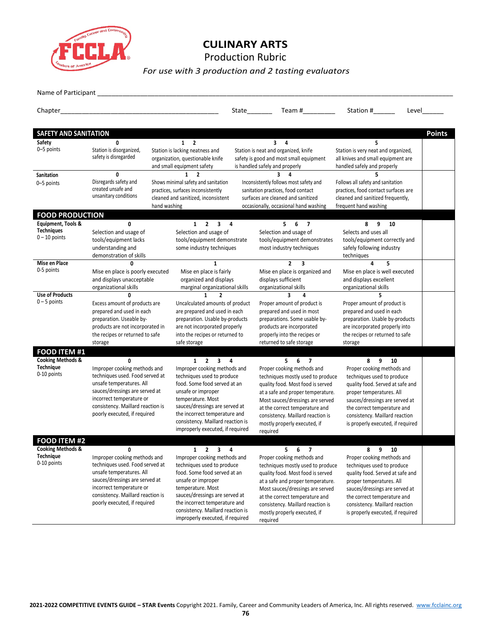

### **CULINARY ARTS** Production Rubric

*For use with 3 production and 2 tasting evaluators*

Name of Participant \_\_

|                                                                 |                                                                                                                                                                                                                                                            |                                                                                                                                                                                                                                                                                                                | State                                          | Team # $\sqrt{ }$                                                                                                                                                                                                                                                                                                             | Station #<br>Level                                                                                                                                                                                                                                                               |               |
|-----------------------------------------------------------------|------------------------------------------------------------------------------------------------------------------------------------------------------------------------------------------------------------------------------------------------------------|----------------------------------------------------------------------------------------------------------------------------------------------------------------------------------------------------------------------------------------------------------------------------------------------------------------|------------------------------------------------|-------------------------------------------------------------------------------------------------------------------------------------------------------------------------------------------------------------------------------------------------------------------------------------------------------------------------------|----------------------------------------------------------------------------------------------------------------------------------------------------------------------------------------------------------------------------------------------------------------------------------|---------------|
| SAFETY AND SANITATION                                           |                                                                                                                                                                                                                                                            |                                                                                                                                                                                                                                                                                                                |                                                |                                                                                                                                                                                                                                                                                                                               |                                                                                                                                                                                                                                                                                  | <b>Points</b> |
| Safety<br>0-5 points                                            | 0<br>Station is disorganized,<br>safety is disregarded                                                                                                                                                                                                     | $1 \quad 2$<br>Station is lacking neatness and<br>organization, questionable knife<br>and small equipment safety                                                                                                                                                                                               |                                                | $3 \quad 4$<br>Station is neat and organized, knife<br>safety is good and most small equipment<br>is handled safely and properly                                                                                                                                                                                              | 5.<br>Station is very neat and organized,<br>all knives and small equipment are<br>handled safely and properly                                                                                                                                                                   |               |
| Sanitation<br>0-5 points                                        | $\mathbf{1}$<br>$\overline{2}$<br>$\mathbf{0}$<br>Disregards safety and<br>Shows minimal safety and sanitation<br>created unsafe and<br>practices, surfaces inconsistently<br>unsanitary conditions<br>cleaned and sanitized, inconsistent<br>hand washing |                                                                                                                                                                                                                                                                                                                |                                                | 3.<br>Inconsistently follows most safety and<br>sanitation practices, food contact<br>surfaces are cleaned and sanitized<br>occasionally, occasional hand washing                                                                                                                                                             | 5<br>Follows all safety and sanitation<br>practices, food contact surfaces are<br>cleaned and sanitized frequently,<br>frequent hand washing                                                                                                                                     |               |
| <b>FOOD PRODUCTION</b>                                          |                                                                                                                                                                                                                                                            |                                                                                                                                                                                                                                                                                                                |                                                |                                                                                                                                                                                                                                                                                                                               |                                                                                                                                                                                                                                                                                  |               |
| Equipment, Tools &<br><b>Techniques</b><br>$0 - 10$ points      | $\mathbf{0}$<br>Selection and usage of<br>tools/equipment lacks<br>understanding and<br>demonstration of skills                                                                                                                                            | $1 \quad 2 \quad 3 \quad 4$<br>Selection and usage of<br>tools/equipment demonstrate<br>some industry techniques                                                                                                                                                                                               |                                                | $5 \t6 \t7$<br>Selection and usage of<br>tools/equipment demonstrates<br>most industry techniques                                                                                                                                                                                                                             | 8<br>9<br>10<br>Selects and uses all<br>tools/equipment correctly and<br>safely following industry<br>techniques                                                                                                                                                                 |               |
| Mise en Place<br>0-5 points                                     | 0<br>Mise en place is poorly executed<br>and displays unacceptable<br>organizational skills                                                                                                                                                                | Mise en place is fairly<br>organized and displays                                                                                                                                                                                                                                                              | $\mathbf{1}$<br>marginal organizational skills | $\overline{2}$<br>$\overline{\mathbf{3}}$<br>Mise en place is organized and<br>displays sufficient<br>organizational skills                                                                                                                                                                                                   | 4<br>5<br>Mise en place is well executed<br>and displays excellent<br>organizational skills                                                                                                                                                                                      |               |
| <b>Use of Products</b><br>$0 - 5$ points                        | <sup>0</sup><br>Excess amount of products are<br>prepared and used in each<br>preparation. Useable by-<br>products are not incorporated in<br>the recipes or returned to safe<br>storage                                                                   | $\mathbf{1}$<br>Uncalculated amounts of product<br>are prepared and used in each<br>preparation. Usable by-products<br>are not incorporated properly<br>into the recipes or returned to<br>safe storage                                                                                                        | $\overline{2}$                                 | $\overline{\mathbf{3}}$<br>4<br>Proper amount of product is<br>prepared and used in most<br>preparations. Some usable by-<br>products are incorporated<br>properly into the recipes or<br>returned to safe storage                                                                                                            | 5.<br>Proper amount of product is<br>prepared and used in each<br>preparation. Usable by-products<br>are incorporated properly into<br>the recipes or returned to safe<br>storage                                                                                                |               |
| <b>FOOD ITEM #1</b>                                             |                                                                                                                                                                                                                                                            |                                                                                                                                                                                                                                                                                                                |                                                |                                                                                                                                                                                                                                                                                                                               |                                                                                                                                                                                                                                                                                  |               |
| <b>Cooking Methods &amp;</b><br><b>Technique</b><br>0-10 points | 0<br>Improper cooking methods and<br>techniques used. Food served at<br>unsafe temperatures. All<br>sauces/dressings are served at<br>incorrect temperature or<br>consistency. Maillard reaction is<br>poorly executed, if required                        | $1 \quad 2 \quad 3$<br>Improper cooking methods and<br>techniques used to produce<br>food. Some food served at an<br>unsafe or improper<br>temperature. Most<br>sauces/dressings are served at<br>the incorrect temperature and<br>consistency. Maillard reaction is<br>improperly executed, if required       | 4                                              | $5 \t6 \t7$<br>Proper cooking methods and<br>techniques mostly used to produce<br>quality food. Most food is served<br>at a safe and proper temperature.<br>Most sauces/dressings are served<br>at the correct temperature and<br>consistency. Maillard reaction is<br>mostly properly executed, if<br>required               | 9<br>8<br>10<br>Proper cooking methods and<br>techniques used to produce<br>quality food. Served at safe and<br>proper temperatures. All<br>sauces/dressings are served at<br>the correct temperature and<br>consistency. Maillard reaction<br>is properly executed, if required |               |
| <b>FOOD ITEM #2</b>                                             |                                                                                                                                                                                                                                                            |                                                                                                                                                                                                                                                                                                                |                                                |                                                                                                                                                                                                                                                                                                                               |                                                                                                                                                                                                                                                                                  |               |
| <b>Cooking Methods &amp;</b><br>Technique<br>0-10 points        | 0<br>Improper cooking methods and<br>techniques used. Food served at<br>unsafe temperatures. All<br>sauces/dressings are served at<br>incorrect temperature or<br>consistency. Maillard reaction is<br>poorly executed, if required                        | $\mathbf{2}$<br>$1 \quad$<br>Improper cooking methods and<br>techniques used to produce<br>food. Some food served at an<br>unsafe or improper<br>temperature. Most<br>sauces/dressings are served at<br>the incorrect temperature and<br>consistency. Maillard reaction is<br>improperly executed, if required | $\mathbf{3}$<br>4                              | 5.<br>6<br>$\overline{7}$<br>Proper cooking methods and<br>techniques mostly used to produce<br>quality food. Most food is served<br>at a safe and proper temperature.<br>Most sauces/dressings are served<br>at the correct temperature and<br>consistency. Maillard reaction is<br>mostly properly executed, if<br>required | 9<br>8<br>10<br>Proper cooking methods and<br>techniques used to produce<br>quality food. Served at safe and<br>proper temperatures. All<br>sauces/dressings are served at<br>the correct temperature and<br>consistency. Maillard reaction<br>is properly executed, if required |               |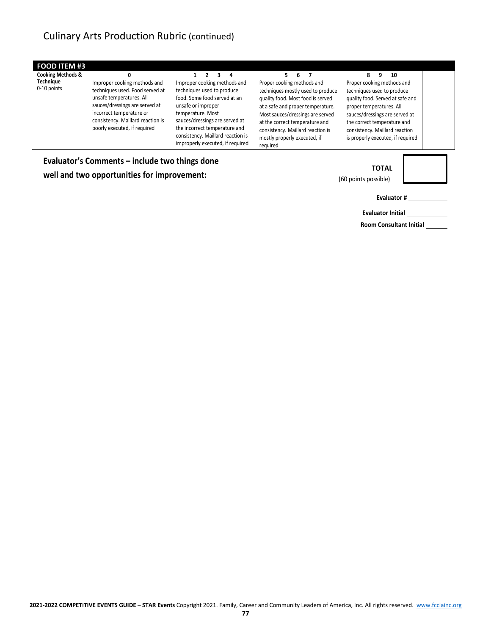#### **FOOD ITEM #3 Cooking Methods &**

**Technique** 0-10 points

#### **0** Improper cooking methods and techniques used. Food served at unsafe temperatures. All sauces/dressings are served at incorrect temperature or consistency. Maillard reaction is poorly executed, if required

#### **1 2 3 4** Improper cooking methods and techniques used to produce food. Some food served at an unsafe or improper temperature. Most sauces/dressings are served at the incorrect temperature and consistency. Maillard reaction is improperly executed, if required

#### **5 6 7** Proper cooking methods and techniques mostly used to produce quality food. Most food is served at a safe and proper temperature. Most sauces/dressings are served at the correct temperature and consistency. Maillard reaction is mostly properly executed, if

required

#### **8 9 10**

Proper cooking methods and techniques used to produce quality food. Served at safe and proper temperatures. All sauces/dressings are served at the correct temperature and consistency. Maillard reaction is properly executed, if required

**Evaluator's Comments – include two things done well and two opportunities for improvement:**



(60 points possible)

**Evaluator #**

**Evaluator Initial**

**Room Consultant Initial**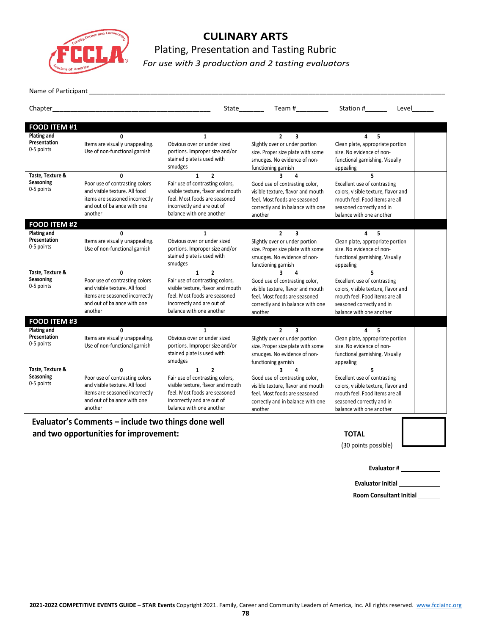

## **CULINARY ARTS** Plating, Presentation and Tasting Rubric *For use with 3 production and 2 tasting evaluators*

Name of Participant

|                                                    |                                                                                                                                                             |                                                                                                                                                                                                             | Team # $\sqrt{ }$<br>State________                                                                                                                                                   | Station #<br>Level                                                                                                                                                   |  |
|----------------------------------------------------|-------------------------------------------------------------------------------------------------------------------------------------------------------------|-------------------------------------------------------------------------------------------------------------------------------------------------------------------------------------------------------------|--------------------------------------------------------------------------------------------------------------------------------------------------------------------------------------|----------------------------------------------------------------------------------------------------------------------------------------------------------------------|--|
| <b>FOOD ITEM #1</b>                                |                                                                                                                                                             |                                                                                                                                                                                                             |                                                                                                                                                                                      |                                                                                                                                                                      |  |
| <b>Plating and</b><br>Presentation<br>0-5 points   | $\mathbf{0}$<br>Items are visually unappealing.<br>Use of non-functional garnish                                                                            | $\mathbf{1}$<br>Obvious over or under sized<br>portions. Improper size and/or<br>stained plate is used with<br>smudges                                                                                      | $\overline{2}$<br>3<br>Slightly over or under portion<br>size. Proper size plate with some<br>smudges. No evidence of non-<br>functioning garnish                                    | 5<br>4<br>Clean plate, appropriate portion<br>size. No evidence of non-<br>functional garnishing. Visually<br>appealing                                              |  |
| Taste, Texture &<br><b>Seasoning</b><br>0-5 points | <sup>0</sup><br>Poor use of contrasting colors<br>and visible texture. All food<br>items are seasoned incorrectly<br>and out of balance with one<br>another | $\overline{2}$<br>$\mathbf{1}$<br>Fair use of contrasting colors,<br>visible texture, flavor and mouth<br>feel. Most foods are seasoned<br>incorrectly and are out of<br>balance with one another           | Good use of contrasting color,<br>visible texture, flavor and mouth<br>feel. Most foods are seasoned<br>correctly and in balance with one<br>another                                 | 5<br>Excellent use of contrasting<br>colors, visible texture, flavor and<br>mouth feel. Food items are all<br>seasoned correctly and in<br>balance with one another  |  |
| <b>FOOD ITEM #2</b><br>Plating and                 | 0                                                                                                                                                           | $\mathbf{1}$                                                                                                                                                                                                | $\overline{2}$<br>3                                                                                                                                                                  | 4<br>5                                                                                                                                                               |  |
| Presentation<br>0-5 points                         | Items are visually unappealing.<br>Use of non-functional garnish                                                                                            | Obvious over or under sized<br>portions. Improper size and/or<br>stained plate is used with<br>smudges                                                                                                      | Slightly over or under portion<br>size. Proper size plate with some<br>smudges. No evidence of non-<br>functioning garnish                                                           | Clean plate, appropriate portion<br>size. No evidence of non-<br>functional garnishing. Visually<br>appealing                                                        |  |
| Taste. Texture &<br>Seasoning<br>0-5 points        | $\mathbf{0}$<br>Poor use of contrasting colors<br>and visible texture. All food<br>items are seasoned incorrectly<br>and out of balance with one<br>another | $\mathbf{1}$<br>$\overline{2}$<br>Fair use of contrasting colors,<br>visible texture, flavor and mouth<br>feel. Most foods are seasoned<br>incorrectly and are out of<br>balance with one another           | $\overline{\mathbf{a}}$<br>4<br>Good use of contrasting color,<br>visible texture, flavor and mouth<br>feel. Most foods are seasoned<br>correctly and in balance with one<br>another | 5<br>Excellent use of contrasting<br>colors, visible texture, flavor and<br>mouth feel. Food items are all<br>seasoned correctly and in<br>balance with one another  |  |
| FOOD ITEM #3                                       |                                                                                                                                                             |                                                                                                                                                                                                             |                                                                                                                                                                                      |                                                                                                                                                                      |  |
| Plating and<br>Presentation<br>0-5 points          | $\mathbf{0}$<br>Items are visually unappealing.<br>Use of non-functional garnish                                                                            | $\mathbf{1}$<br>Obvious over or under sized<br>portions. Improper size and/or<br>stained plate is used with<br>smudges                                                                                      | $\overline{2}$<br>3<br>Slightly over or under portion<br>size. Proper size plate with some<br>smudges. No evidence of non-<br>functioning garnish                                    | 5.<br>4<br>Clean plate, appropriate portion<br>size. No evidence of non-<br>functional garnishing. Visually<br>appealing                                             |  |
| Taste, Texture &<br><b>Seasoning</b><br>0-5 points | $\Omega$<br>Poor use of contrasting colors<br>and visible texture. All food<br>items are seasoned incorrectly<br>and out of balance with one<br>another     | $\mathbf{1}$<br>$\overline{\phantom{a}}$<br>Fair use of contrasting colors,<br>visible texture, flavor and mouth<br>feel. Most foods are seasoned<br>incorrectly and are out of<br>balance with one another | 3<br>4<br>Good use of contrasting color,<br>visible texture, flavor and mouth<br>feel. Most foods are seasoned<br>correctly and in balance with one<br>another                       | 5.<br>Excellent use of contrasting<br>colors, visible texture, flavor and<br>mouth feel. Food items are all<br>seasoned correctly and in<br>balance with one another |  |

**Evaluator's Comments – include two things done well** and two opportunities for improvement: TOTAL

(30 points possible)

**Evaluator #**

**Evaluator Initial**

**Room Consultant Initial**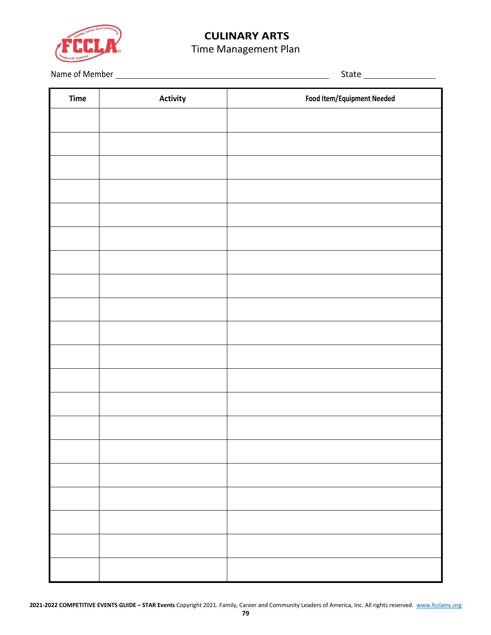

# **CULINARY ARTS**

# Time Management Plan

Name of Member State

| Time | Activity | <b>Food Item/Equipment Needed</b> |
|------|----------|-----------------------------------|
|      |          |                                   |
|      |          |                                   |
|      |          |                                   |
|      |          |                                   |
|      |          |                                   |
|      |          |                                   |
|      |          |                                   |
|      |          |                                   |
|      |          |                                   |
|      |          |                                   |
|      |          |                                   |
|      |          |                                   |
|      |          |                                   |
|      |          |                                   |
|      |          |                                   |
|      |          |                                   |
|      |          |                                   |
|      |          |                                   |
|      |          |                                   |
|      |          |                                   |
|      |          |                                   |
|      |          |                                   |